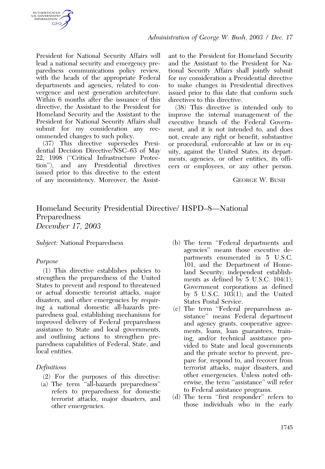President for National Security Affairs will lead a national security and emergency preparedness communications policy review, with the heads of the appropriate Federal departments and agencies, related to convergence and next generation architecture. Within 6 months after the issuance of this directive, the Assistant to the President for Homeland Security and the Assistant to the President for National Security Affairs shall submit for my consideration any recommended changes to such policy.

(37) This directive supersedes Presidential Decision Directive/NSC–63 of May 22, 1998 (''Critical Infrastructure Protection''), and any Presidential directives issued prior to this directive to the extent of any inconsistency. Moreover, the Assistant to the President for Homeland Security and the Assistant to the President for National Security Affairs shall jointly submit for my consideration a Presidential directive to make changes in Presidential directives issued prior to this date that conform such directives to this directive.

(38) This directive is intended only to improve the internal management of the executive branch of the Federal Government, and it is not intended to, and does not, create any right or benefit, substantive or procedural, enforceable at law or in equity, against the United States, its departments, agencies, or other entities, its officers or employees, or any other person.

#### GEORGE W. BUSH

# Homeland Security Presidential Directive/ HSPD–8—National Preparedness *December 17, 2003*

*Subject:* National Preparedness

#### *Purpose*

(1) This directive establishes policies to strengthen the preparedness of the United States to prevent and respond to threatened or actual domestic terrorist attacks, major disasters, and other emergencies by requiring a national domestic all-hazards preparedness goal, establishing mechanisms for improved delivery of Federal preparedness assistance to State and local governments, and outlining actions to strengthen preparedness capabilities of Federal, State, and local entities.

#### *Definitions*

- (2) For the purposes of this directive:
- (a) The term ''all-hazards preparedness'' refers to preparedness for domestic terrorist attacks, major disasters, and other emergencies.
- (b) The term ''Federal departments and agencies'' means those executive departments enumerated in 5 U.S.C. 101, and the Department of Homeland Security; independent establishments as defined by 5 U.S.C.  $104(1)$ ; Government corporations as defined by 5 U.S.C.  $103(1)$ ; and the United States Postal Service.
- (c) The term ''Federal preparedness assistance'' means Federal department and agency grants, cooperative agreements, loans, loan guarantees, training, and/or technical assistance provided to State and local governments and the private sector to prevent, prepare for, respond to, and recover from terrorist attacks, major disasters, and other emergencies. Unless noted otherwise, the term ''assistance'' will refer to Federal assistance programs.
- (d) The term ''first responder'' refers to those individuals who in the early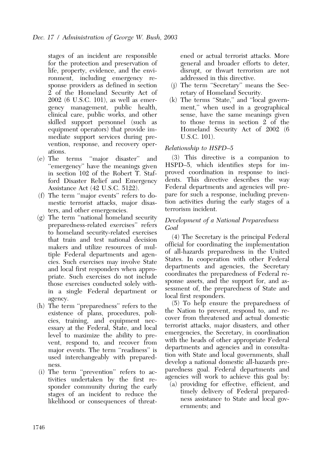stages of an incident are responsible for the protection and preservation of life, property, evidence, and the environment, including emergency response providers as defined in section 2 of the Homeland Security Act of 2002 (6 U.S.C. 101), as well as emergency management, public health, clinical care, public works, and other skilled support personnel (such as equipment operators) that provide immediate support services during prevention, response, and recovery operations.

- (e) The terms ''major disaster'' and "emergency" have the meanings given in section 102 of the Robert T. Stafford Disaster Relief and Emergency Assistance Act (42 U.S.C. 5122).
- (f) The term ''major events'' refers to domestic terrorist attacks, major disasters, and other emergencies.
- (g) The term ''national homeland security preparedness-related exercises'' refers to homeland security-related exercises that train and test national decision makers and utilize resources of multiple Federal departments and agencies. Such exercises may involve State and local first responders when appropriate. Such exercises do not include those exercises conducted solely within a single Federal department or agency.
- (h) The term ''preparedness'' refers to the existence of plans, procedures, policies, training, and equipment necessary at the Federal, State, and local level to maximize the ability to prevent, respond to, and recover from major events. The term "readiness" is used interchangeably with preparedness.
- (i) The term ''prevention'' refers to activities undertaken by the first responder community during the early stages of an incident to reduce the likelihood or consequences of threat-

ened or actual terrorist attacks. More general and broader efforts to deter, disrupt, or thwart terrorism are not addressed in this directive.

- (j) The term ''Secretary'' means the Secretary of Homeland Security.
- (k) The terms ''State,'' and ''local government,'' when used in a geographical sense, have the same meanings given to those terms in section  $2\degree$  of the Homeland Security Act of 2002 (6 U.S.C. 101).

## *Relationship to HSPD–5*

(3) This directive is a companion to HSPD–5, which identifies steps for improved coordination in response to incidents. This directive describes the way Federal departments and agencies will prepare for such a response, including prevention activities during the early stages of a terrorism incident.

#### *Development of a National Preparedness Goal*

(4) The Secretary is the principal Federal official for coordinating the implementation of all-hazards preparedness in the United States. In cooperation with other Federal departments and agencies, the Secretary coordinates the preparedness of Federal response assets, and the support for, and assessment of, the preparedness of State and local first responders.

(5) To help ensure the preparedness of the Nation to prevent, respond to, and recover from threatened and actual domestic terrorist attacks, major disasters, and other emergencies, the Secretary, in coordination with the heads of other appropriate Federal departments and agencies and in consultation with State and local governments, shall develop a national domestic all-hazards preparedness goal. Federal departments and agencies will work to achieve this goal by:

(a) providing for effective, efficient, and timely delivery of Federal preparedness assistance to State and local governments; and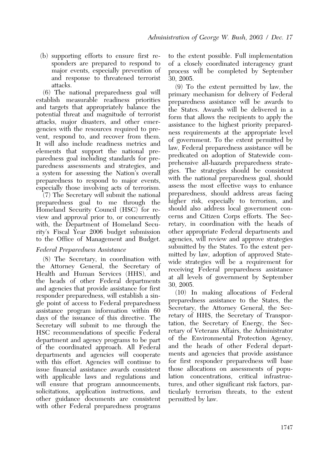(b) supporting efforts to ensure first responders are prepared to respond to major events, especially prevention of and response to threatened terrorist attacks.

(6) The national preparedness goal will establish measurable readiness priorities and targets that appropriately balance the potential threat and magnitude of terrorist attacks, major disasters, and other emergencies with the resources required to prevent, respond to, and recover from them. It will also include readiness metrics and elements that support the national preparedness goal including standards for preparedness assessments and strategies, and a system for assessing the Nation's overall preparedness to respond to major events, especially those involving acts of terrorism.

(7) The Secretary will submit the national preparedness goal to me through the Homeland Security Council (HSC) for review and approval prior to, or concurrently with, the Department of Homeland Security's Fiscal Year 2006 budget submission to the Office of Management and Budget.

## *Federal Preparedness Assistance*

(8) The Secretary, in coordination with the Attorney General, the Secretary of Health and Human Services (HHS), and the heads of other Federal departments and agencies that provide assistance for first responder preparedness, will establish a single point of access to Federal preparedness assistance program information within 60 days of the issuance of this directive. The Secretary will submit to me through the HSC recommendations of specific Federal department and agency programs to be part of the coordinated approach. All Federal departments and agencies will cooperate with this effort. Agencies will continue to issue financial assistance awards consistent with applicable laws and regulations and will ensure that program announcements, solicitations, application instructions, and other guidance documents are consistent with other Federal preparedness programs

to the extent possible. Full implementation of a closely coordinated interagency grant process will be completed by September 30, 2005.

(9) To the extent permitted by law, the primary mechanism for delivery of Federal preparedness assistance will be awards to the States. Awards will be delivered in a form that allows the recipients to apply the assistance to the highest priority preparedness requirements at the appropriate level of government. To the extent permitted by law, Federal preparedness assistance will be predicated on adoption of Statewide comprehensive all-hazards preparedness strategies. The strategies should be consistent with the national preparedness goal, should assess the most effective ways to enhance preparedness, should address areas facing higher risk, especially to terrorism, and should also address local government concerns and Citizen Corps efforts. The Secretary, in coordination with the heads of other appropriate Federal departments and agencies, will review and approve strategies submitted by the States. To the extent permitted by law, adoption of approved Statewide strategies will be a requirement for receiving Federal preparedness assistance at all levels of government by September 30, 2005.

(10) In making allocations of Federal preparedness assistance to the States, the Secretary, the Attorney General, the Secretary of HHS, the Secretary of Transportation, the Secretary of Energy, the Secretary of Veterans Affairs, the Administrator of the Environmental Protection Agency, and the heads of other Federal departments and agencies that provide assistance for first responder preparedness will base those allocations on assessments of population concentrations, critical infrastructures, and other significant risk factors, particularly terrorism threats, to the extent permitted by law.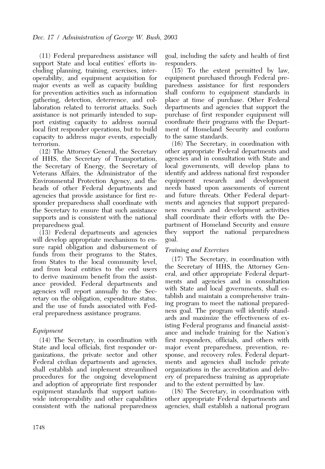(11) Federal preparedness assistance will support State and local entities' efforts including planning, training, exercises, interoperability, and equipment acquisition for major events as well as capacity building for prevention activities such as information gathering, detection, deterrence, and collaboration related to terrorist attacks. Such assistance is not primarily intended to support existing capacity to address normal local first responder operations, but to build capacity to address major events, especially terrorism.

(12) The Attorney General, the Secretary of HHS, the Secretary of Transportation, the Secretary of Energy, the Secretary of Veterans Affairs, the Administrator of the Environmental Protection Agency, and the heads of other Federal departments and agencies that provide assistance for first responder preparedness shall coordinate with the Secretary to ensure that such assistance supports and is consistent with the national preparedness goal.

(13) Federal departments and agencies will develop appropriate mechanisms to ensure rapid obligation and disbursement of funds from their programs to the States, from States to the local community level, and from local entities to the end users to derive maximum benefit from the assistance provided. Federal departments and agencies will report annually to the Secretary on the obligation, expenditure status, and the use of funds associated with Federal preparedness assistance programs.

## *Equipment*

(14) The Secretary, in coordination with State and local officials, first responder organizations, the private sector and other Federal civilian departments and agencies, shall establish and implement streamlined procedures for the ongoing development and adoption of appropriate first responder equipment standards that support nationwide interoperability and other capabilities consistent with the national preparedness goal, including the safety and health of first responders.

(15) To the extent permitted by law, equipment purchased through Federal preparedness assistance for first responders shall conform to equipment standards in place at time of purchase. Other Federal departments and agencies that support the purchase of first responder equipment will coordinate their programs with the Department of Homeland Security and conform to the same standards.

(16) The Secretary, in coordination with other appropriate Federal departments and agencies and in consultation with State and local governments, will develop plans to identify and address national first responder equipment research and development needs based upon assessments of current and future threats. Other Federal departments and agencies that support preparedness research and development activities shall coordinate their efforts with the Department of Homeland Security and ensure they support the national preparedness goal.

#### *Training and Exercises*

(17) The Secretary, in coordination with the Secretary of HHS, the Attorney General, and other appropriate Federal departments and agencies and in consultation with State and local governments, shall establish and maintain a comprehensive training program to meet the national preparedness goal. The program will identify standards and maximize the effectiveness of existing Federal programs and financial assistance and include training for the Nation's first responders, officials, and others with major event preparedness, prevention, response, and recovery roles. Federal departments and agencies shall include private organizations in the accreditation and delivery of preparedness training as appropriate and to the extent permitted by law.

(18) The Secretary, in coordination with other appropriate Federal departments and agencies, shall establish a national program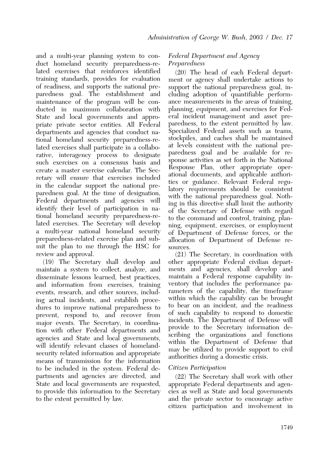and a multi-year planning system to conduct homeland security preparedness-related exercises that reinforces identified training standards, provides for evaluation of readiness, and supports the national preparedness goal. The establishment and maintenance of the program will be conducted in maximum collaboration with State and local governments and appropriate private sector entities. All Federal departments and agencies that conduct national homeland security preparedness-related exercises shall participate in a collaborative, interagency process to designate such exercises on a consensus basis and create a master exercise calendar. The Secretary will ensure that exercises included in the calendar support the national preparedness goal. At the time of designation, Federal departments and agencies will identify their level of participation in national homeland security preparedness-related exercises. The Secretary will develop a multi-year national homeland security preparedness-related exercise plan and submit the plan to me through the HSC for review and approval.

(19) The Secretary shall develop and maintain a system to collect, analyze, and disseminate lessons learned, best practices, and information from exercises, training events, research, and other sources, including actual incidents, and establish procedures to improve national preparedness to prevent, respond to, and recover from major events. The Secretary, in coordination with other Federal departments and agencies and State and local governments, will identify relevant classes of homelandsecurity related information and appropriate means of transmission for the information to be included in the system. Federal departments and agencies are directed, and State and local governments are requested, to provide this information to the Secretary to the extent permitted by law.

## *Federal Department and Agency Preparedness*

(20) The head of each Federal department or agency shall undertake actions to support the national preparedness goal, including adoption of quantifiable performance measurements in the areas of training, planning, equipment, and exercises for Federal incident management and asset preparedness, to the extent permitted by law. Specialized Federal assets such as teams, stockpiles, and caches shall be maintained at levels consistent with the national preparedness goal and be available for response activities as set forth in the National Response Plan, other appropriate operational documents, and applicable authorities or guidance. Relevant Federal regulatory requirements should be consistent with the national preparedness goal. Nothing in this directive shall limit the authority of the Secretary of Defense with regard to the command and control, training, planning, equipment, exercises, or employment of Department of Defense forces, or the allocation of Department of Defense resources.

(21) The Secretary, in coordination with other appropriate Federal civilian departments and agencies, shall develop and maintain a Federal response capability inventory that includes the performance parameters of the capability, the timeframe within which the capability can be brought to bear on an incident, and the readiness of such capability to respond to domestic incidents. The Department of Defense will provide to the Secretary information describing the organizations and functions within the Department of Defense that may be utilized to provide support to civil authorities during a domestic crisis.

#### *Citizen Participation*

(22) The Secretary shall work with other appropriate Federal departments and agencies as well as State and local governments and the private sector to encourage active citizen participation and involvement in